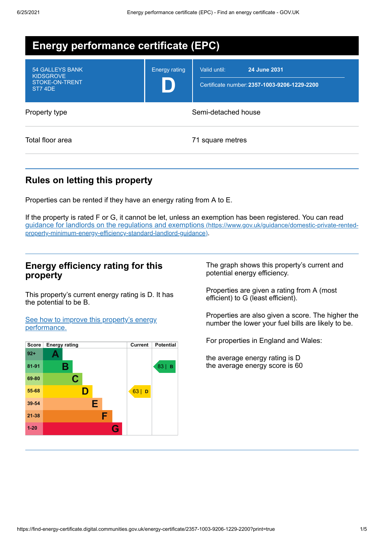| <b>Energy performance certificate (EPC)</b>                            |                      |                                                                              |  |  |
|------------------------------------------------------------------------|----------------------|------------------------------------------------------------------------------|--|--|
| <b>54 GALLEYS BANK</b><br><b>KIDSGROVE</b><br>STOKE-ON-TRENT<br>ST74DE | <b>Energy rating</b> | Valid until:<br>24 June 2031<br>Certificate number: 2357-1003-9206-1229-2200 |  |  |
| Property type                                                          | Semi-detached house  |                                                                              |  |  |
| Total floor area                                                       |                      | 71 square metres                                                             |  |  |

## **Rules on letting this property**

Properties can be rented if they have an energy rating from A to E.

If the property is rated F or G, it cannot be let, unless an exemption has been registered. You can read guidance for landlords on the regulations and exemptions (https://www.gov.uk/guidance/domestic-private-rented[property-minimum-energy-efficiency-standard-landlord-guidance\)](https://www.gov.uk/guidance/domestic-private-rented-property-minimum-energy-efficiency-standard-landlord-guidance).

## **Energy efficiency rating for this property**

This property's current energy rating is D. It has the potential to be B.

See how to improve this property's energy [performance.](#page-2-0)



The graph shows this property's current and potential energy efficiency.

Properties are given a rating from A (most efficient) to G (least efficient).

Properties are also given a score. The higher the number the lower your fuel bills are likely to be.

For properties in England and Wales:

the average energy rating is D the average energy score is 60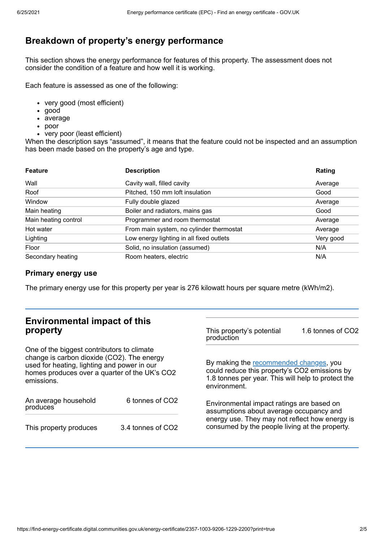# **Breakdown of property's energy performance**

This section shows the energy performance for features of this property. The assessment does not consider the condition of a feature and how well it is working.

Each feature is assessed as one of the following:

- very good (most efficient)
- good
- average
- poor
- very poor (least efficient)

When the description says "assumed", it means that the feature could not be inspected and an assumption has been made based on the property's age and type.

| <b>Feature</b>       | <b>Description</b>                       | Rating    |
|----------------------|------------------------------------------|-----------|
| Wall                 | Cavity wall, filled cavity               | Average   |
| Roof                 | Pitched, 150 mm loft insulation          | Good      |
| Window               | Fully double glazed                      | Average   |
| Main heating         | Boiler and radiators, mains gas          | Good      |
| Main heating control | Programmer and room thermostat           | Average   |
| Hot water            | From main system, no cylinder thermostat | Average   |
| Lighting             | Low energy lighting in all fixed outlets | Very good |
| Floor                | Solid, no insulation (assumed)           | N/A       |
| Secondary heating    | Room heaters, electric                   | N/A       |

### **Primary energy use**

The primary energy use for this property per year is 276 kilowatt hours per square metre (kWh/m2).

| <b>Environmental impact of this</b><br>property                                                                                                                                                        |                   | This property's potential<br>production                                                                                                                                                  | 1.6 tonnes of CO2 |
|--------------------------------------------------------------------------------------------------------------------------------------------------------------------------------------------------------|-------------------|------------------------------------------------------------------------------------------------------------------------------------------------------------------------------------------|-------------------|
| One of the biggest contributors to climate<br>change is carbon dioxide (CO2). The energy<br>used for heating, lighting and power in our<br>homes produces over a quarter of the UK's CO2<br>emissions. |                   | By making the recommended changes, you<br>could reduce this property's CO2 emissions by<br>1.8 tonnes per year. This will help to protect the<br>environment.                            |                   |
| An average household<br>produces                                                                                                                                                                       | 6 tonnes of CO2   | Environmental impact ratings are based on<br>assumptions about average occupancy and<br>energy use. They may not reflect how energy is<br>consumed by the people living at the property. |                   |
| This property produces                                                                                                                                                                                 | 3.4 tonnes of CO2 |                                                                                                                                                                                          |                   |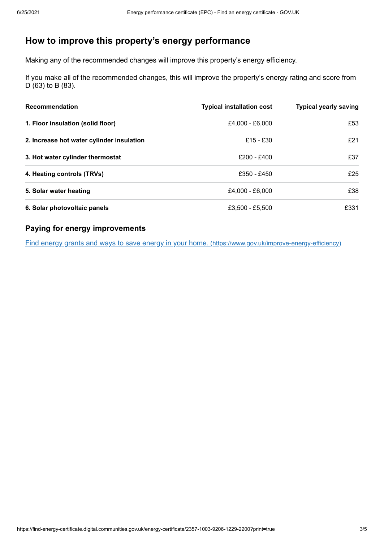# <span id="page-2-0"></span>**How to improve this property's energy performance**

Making any of the recommended changes will improve this property's energy efficiency.

If you make all of the recommended changes, this will improve the property's energy rating and score from D (63) to B (83).

| <b>Recommendation</b>                     | <b>Typical installation cost</b> | <b>Typical yearly saving</b> |
|-------------------------------------------|----------------------------------|------------------------------|
| 1. Floor insulation (solid floor)         | £4,000 - £6,000                  | £53                          |
| 2. Increase hot water cylinder insulation | $£15 - £30$                      | £21                          |
| 3. Hot water cylinder thermostat          | £200 - £400                      | £37                          |
| 4. Heating controls (TRVs)                | £350 - £450                      | £25                          |
| 5. Solar water heating                    | £4,000 - £6,000                  | £38                          |
| 6. Solar photovoltaic panels              | £3,500 - £5,500                  | £331                         |

## **Paying for energy improvements**

Find energy grants and ways to save energy in your home. [\(https://www.gov.uk/improve-energy-efficiency\)](https://www.gov.uk/improve-energy-efficiency)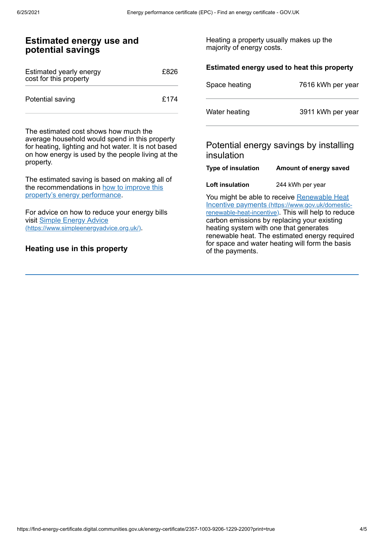#### **Estimated energy use and potential savings** Estimated yearly energy cost for this property £826 Potential saving **E174** The estimated cost shows how much the average household would spend in this property for heating, lighting and hot water. It is not based on how energy is used by the people living at the property. The estimated saving is based on making all of the [recommendations](#page-2-0) in how to improve this property's energy performance. For advice on how to reduce your energy bills visit Simple Energy Advice [\(https://www.simpleenergyadvice.org.uk/\)](https://www.simpleenergyadvice.org.uk/). Heating a property usually makes up the majority of energy costs. **Estimated energy used to heat this property** Space heating 7616 kWh per year Water heating 3911 kWh per year Potential energy savings by installing insulation **Type of insulation Amount of energy saved Loft insulation** 244 kWh per year You might be able to receive Renewable Heat Incentive payments [\(https://www.gov.uk/domestic](https://www.gov.uk/domestic-renewable-heat-incentive)renewable-heat-incentive). This will help to reduce carbon emissions by replacing your existing heating system with one that generates renewable heat. The estimated energy required for space and water heating will form the basis

of the payments.

### **Heating use in this property**